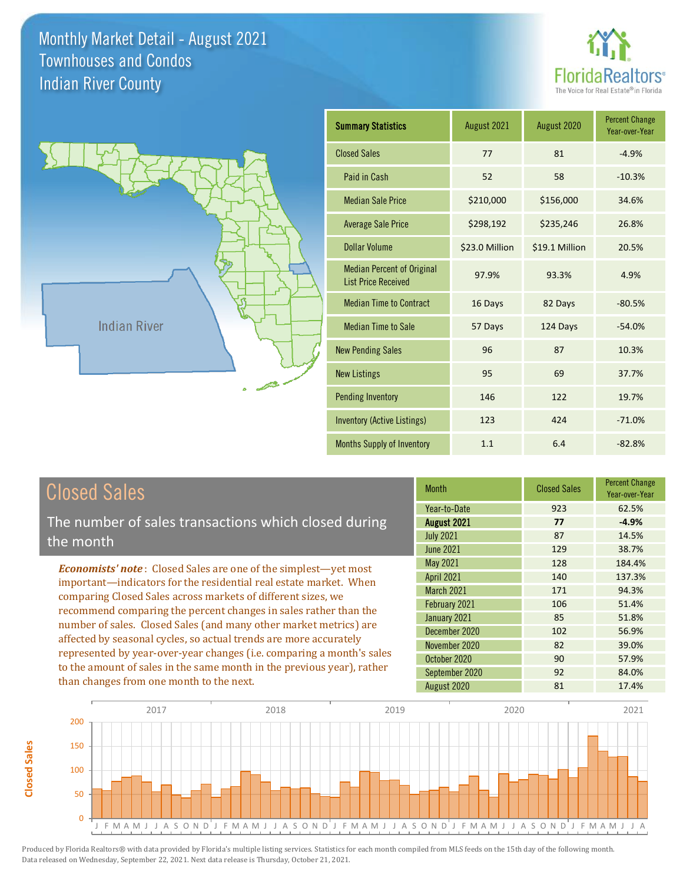**Closed Sales**

**Closed Sales** 





| <b>Summary Statistics</b>                                       | August 2021    | August 2020    | <b>Percent Change</b><br>Year-over-Year |
|-----------------------------------------------------------------|----------------|----------------|-----------------------------------------|
| <b>Closed Sales</b>                                             | 77             | 81             | $-4.9%$                                 |
| Paid in Cash                                                    | 52             | 58             | $-10.3%$                                |
| <b>Median Sale Price</b>                                        | \$210,000      | \$156,000      | 34.6%                                   |
| <b>Average Sale Price</b>                                       | \$298,192      | \$235,246      | 26.8%                                   |
| <b>Dollar Volume</b>                                            | \$23.0 Million | \$19.1 Million | 20.5%                                   |
| <b>Median Percent of Original</b><br><b>List Price Received</b> | 97.9%          | 93.3%          | 4.9%                                    |
| <b>Median Time to Contract</b>                                  | 16 Days        | 82 Days        | $-80.5%$                                |
| <b>Median Time to Sale</b>                                      | 57 Days        | 124 Days       | $-54.0%$                                |
| <b>New Pending Sales</b>                                        | 96             | 87             | 10.3%                                   |
| <b>New Listings</b>                                             | 95             | 69             | 37.7%                                   |
| <b>Pending Inventory</b>                                        | 146            | 122            | 19.7%                                   |
| <b>Inventory (Active Listings)</b>                              | 123            | 424            | $-71.0%$                                |
| Months Supply of Inventory                                      | 1.1            | 6.4            | $-82.8%$                                |

| <b>Closed Sales</b>                                                                                                                                                                                                                                                        | <b>Month</b>      | <b>Closed Sales</b> | <b>Percent Change</b><br>Year-over-Year |
|----------------------------------------------------------------------------------------------------------------------------------------------------------------------------------------------------------------------------------------------------------------------------|-------------------|---------------------|-----------------------------------------|
|                                                                                                                                                                                                                                                                            | Year-to-Date      | 923                 | 62.5%                                   |
| The number of sales transactions which closed during                                                                                                                                                                                                                       | August 2021       | 77                  | $-4.9%$                                 |
| the month                                                                                                                                                                                                                                                                  | <b>July 2021</b>  | 87                  | 14.5%                                   |
|                                                                                                                                                                                                                                                                            | June 2021         | 129                 | 38.7%                                   |
| <b>Economists' note:</b> Closed Sales are one of the simplest—yet most                                                                                                                                                                                                     | May 2021          | 128                 | 184.4%                                  |
| important—indicators for the residential real estate market. When                                                                                                                                                                                                          | <b>April 2021</b> | 140                 | 137.3%                                  |
| comparing Closed Sales across markets of different sizes, we<br>recommend comparing the percent changes in sales rather than the<br>number of sales. Closed Sales (and many other market metrics) are<br>affected by seasonal cycles, so actual trends are more accurately | March 2021        | 171                 | 94.3%                                   |
|                                                                                                                                                                                                                                                                            | February 2021     | 106                 | 51.4%                                   |
|                                                                                                                                                                                                                                                                            | January 2021      | 85                  | 51.8%                                   |
|                                                                                                                                                                                                                                                                            | December 2020     | 102                 | 56.9%                                   |
|                                                                                                                                                                                                                                                                            | November 2020     | 82                  | 39.0%                                   |
| represented by year-over-year changes (i.e. comparing a month's sales                                                                                                                                                                                                      | October 2020      | 90                  | 57.9%                                   |
| to the amount of sales in the same month in the previous year), rather                                                                                                                                                                                                     | September 2020    | 92                  | 84.0%                                   |
| than changes from one month to the next.                                                                                                                                                                                                                                   | August 2020       | 81                  | 17.4%                                   |

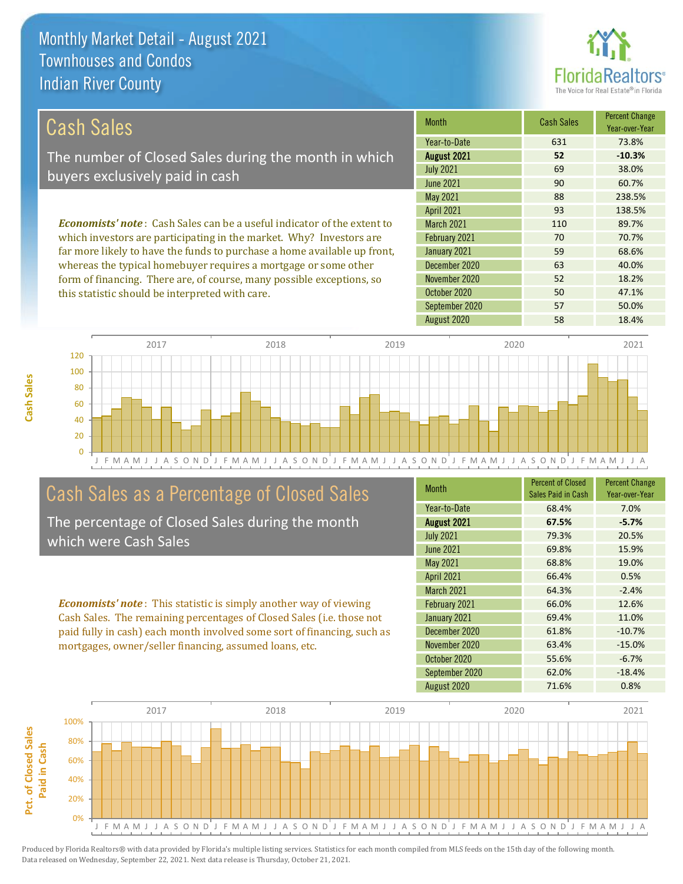this statistic should be interpreted with care.



50 47.1%

| Cash Sales                                                                     | <b>Month</b>      | <b>Cash Sales</b> | <b>Percent Change</b><br>Year-over-Year |
|--------------------------------------------------------------------------------|-------------------|-------------------|-----------------------------------------|
|                                                                                | Year-to-Date      | 631               | 73.8%                                   |
| The number of Closed Sales during the month in which                           | August 2021       | 52                | $-10.3%$                                |
| buyers exclusively paid in cash                                                | <b>July 2021</b>  | 69                | 38.0%                                   |
|                                                                                | <b>June 2021</b>  | 90                | 60.7%                                   |
|                                                                                | May 2021          | 88                | 238.5%                                  |
|                                                                                | <b>April 2021</b> | 93                | 138.5%                                  |
| <b>Economists' note:</b> Cash Sales can be a useful indicator of the extent to | <b>March 2021</b> | 110               | 89.7%                                   |
| which investors are participating in the market. Why? Investors are            | February 2021     | 70                | 70.7%                                   |
| far more likely to have the funds to purchase a home available up front,       | January 2021      | 59                | 68.6%                                   |
| whereas the typical homebuyer requires a mortgage or some other                | December 2020     | 63                | 40.0%                                   |
| form of financing. There are, of course, many possible exceptions, so          | November 2020     | 52                | 18.2%                                   |

J F M A M J J A S O N D J F M A M J J A S O N D J F M A M J J A S O N D J F M A M J J A S O N D J F M A M J J A 0 20 40 60 80 100 120 2017 2018 2019 2020 2021

# Cash Sales as a Percentage of Closed Sales

The percentage of Closed Sales during the month which were Cash Sales

*Economists' note* : This statistic is simply another way of viewing Cash Sales. The remaining percentages of Closed Sales (i.e. those not paid fully in cash) each month involved some sort of financing, such as mortgages, owner/seller financing, assumed loans, etc.

| Month             | <b>Percent of Closed</b><br>Sales Paid in Cash | <b>Percent Change</b><br>Year-over-Year |
|-------------------|------------------------------------------------|-----------------------------------------|
| Year-to-Date      | 68.4%                                          | 7.0%                                    |
| August 2021       | 67.5%                                          | $-5.7%$                                 |
| <b>July 2021</b>  | 79.3%                                          | 20.5%                                   |
| <b>June 2021</b>  | 69.8%                                          | 15.9%                                   |
| May 2021          | 68.8%                                          | 19.0%                                   |
| <b>April 2021</b> | 66.4%                                          | 0.5%                                    |
| March 2021        | 64.3%                                          | $-2.4%$                                 |
| February 2021     | 66.0%                                          | 12.6%                                   |
| January 2021      | 69.4%                                          | 11.0%                                   |
| December 2020     | 61.8%                                          | $-10.7%$                                |
| November 2020     | 63.4%                                          | $-15.0%$                                |
| October 2020      | 55.6%                                          | $-6.7%$                                 |
| September 2020    | 62.0%                                          | $-18.4%$                                |
| August 2020       | 71.6%                                          | 0.8%                                    |

August 2020 **58** 18.4%

September 2020 57 50.0%

October 2020



Pct. of Closed Sales **Pct. of Closed Sales**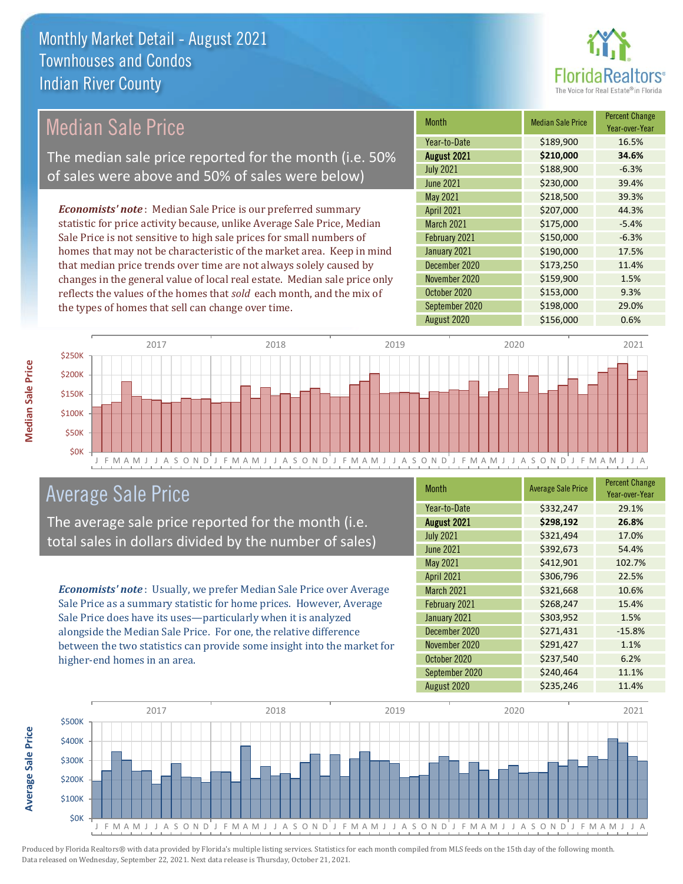

# Median Sale Price

The median sale price reported for the month (i.e. 50% of sales were above and 50% of sales were below)

*Economists' note* : Median Sale Price is our preferred summary statistic for price activity because, unlike Average Sale Price, Median Sale Price is not sensitive to high sale prices for small numbers of homes that may not be characteristic of the market area. Keep in mind that median price trends over time are not always solely caused by changes in the general value of local real estate. Median sale price only reflects the values of the homes that *sold* each month, and the mix of the types of homes that sell can change over time.

| <b>Month</b>      | <b>Median Sale Price</b> | <b>Percent Change</b><br>Year-over-Year |
|-------------------|--------------------------|-----------------------------------------|
| Year-to-Date      | \$189,900                | 16.5%                                   |
| August 2021       | \$210,000                | 34.6%                                   |
| <b>July 2021</b>  | \$188,900                | $-6.3%$                                 |
| <b>June 2021</b>  | \$230,000                | 39.4%                                   |
| May 2021          | \$218,500                | 39.3%                                   |
| <b>April 2021</b> | \$207,000                | 44.3%                                   |
| March 2021        | \$175,000                | $-5.4%$                                 |
| February 2021     | \$150,000                | $-6.3%$                                 |
| January 2021      | \$190,000                | 17.5%                                   |
| December 2020     | \$173,250                | 11.4%                                   |
| November 2020     | \$159,900                | 1.5%                                    |
| October 2020      | \$153,000                | 9.3%                                    |
| September 2020    | \$198,000                | 29.0%                                   |
| August 2020       | \$156,000                | 0.6%                                    |



### Average Sale Price

The average sale price reported for the month (i.e. total sales in dollars divided by the number of sales)

*Economists' note* : Usually, we prefer Median Sale Price over Average Sale Price as a summary statistic for home prices. However, Average Sale Price does have its uses—particularly when it is analyzed alongside the Median Sale Price. For one, the relative difference between the two statistics can provide some insight into the market for higher-end homes in an area.

| Month            | <b>Average Sale Price</b> | <b>Percent Change</b><br>Year-over-Year |
|------------------|---------------------------|-----------------------------------------|
| Year-to-Date     | \$332,247                 | 29.1%                                   |
| August 2021      | \$298,192                 | 26.8%                                   |
| <b>July 2021</b> | \$321,494                 | 17.0%                                   |
| <b>June 2021</b> | \$392,673                 | 54.4%                                   |
| May 2021         | \$412,901                 | 102.7%                                  |
| April 2021       | \$306,796                 | 22.5%                                   |
| March 2021       | \$321,668                 | 10.6%                                   |
| February 2021    | \$268,247                 | 15.4%                                   |
| January 2021     | \$303,952                 | 1.5%                                    |
| December 2020    | \$271,431                 | $-15.8%$                                |
| November 2020    | \$291,427                 | 1.1%                                    |
| October 2020     | \$237,540                 | 6.2%                                    |
| September 2020   | \$240,464                 | 11.1%                                   |
| August 2020      | \$235,246                 | 11.4%                                   |



Produced by Florida Realtors® with data provided by Florida's multiple listing services. Statistics for each month compiled from MLS feeds on the 15th day of the following month. Data released on Wednesday, September 22, 2021. Next data release is Thursday, October 21, 2021.

**Average Sale Price**

**Average Sale Price**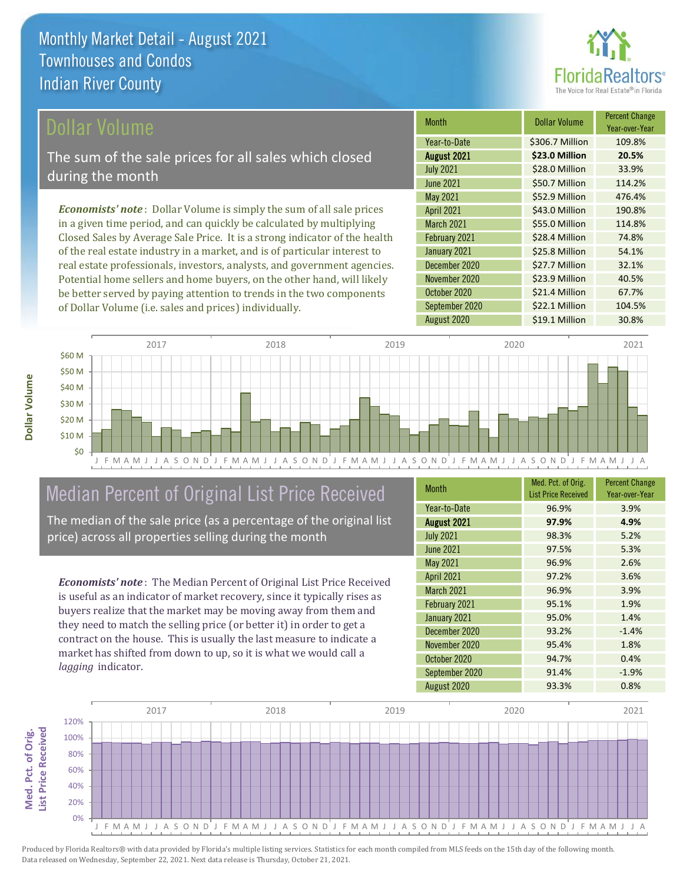

Year-over-Year

54.1%

\$23.9 Million 40.5%

\$21.4 Million 67.7%

Month **Dollar Volume** Percent Change

August 2021 **\$23.0 Million 20.5%** Year-to-Date \$306.7 Million 109.8%

July 2021 **\$28.0 Million** 33.9% June 2021 **\$50.7 Million** 114.2%

May 2021 **552.9 Million** 476.4% April 2021 **543.0 Million** 190.8% March 2021 **\$55.0 Million 114.8%** February 2021 **\$28.4 Million 74.8%** 

August 2020 <br>  $\begin{array}{|c|c|c|c|}\n\hline\n\text{$519.1 Million} & \text{30.8\%} \\
\hline\n\end{array}$ 

September 2020 \$22.1 Million 104.5%

December 2020 \$27.7 Million 32.1%

January 2021 **\$25.8 Million** 

October 2020

November 2020

#### ollar Volume

The sum of the sale prices for all sales which closed during the month

*Economists' note* : Dollar Volume is simply the sum of all sale prices in a given time period, and can quickly be calculated by multiplying Closed Sales by Average Sale Price. It is a strong indicator of the health of the real estate industry in a market, and is of particular interest to real estate professionals, investors, analysts, and government agencies. Potential home sellers and home buyers, on the other hand, will likely be better served by paying attention to trends in the two components of Dollar Volume (i.e. sales and prices) individually.



### Median Percent of Original List Price Received

The median of the sale price (as a percentage of the original list price) across all properties selling during the month

*Economists' note* : The Median Percent of Original List Price Received is useful as an indicator of market recovery, since it typically rises as buyers realize that the market may be moving away from them and they need to match the selling price (or better it) in order to get a contract on the house. This is usually the last measure to indicate a market has shifted from down to up, so it is what we would call a *lagging* indicator.

| <b>Month</b>      | Med. Pct. of Orig.<br><b>List Price Received</b> | <b>Percent Change</b><br>Year-over-Year |
|-------------------|--------------------------------------------------|-----------------------------------------|
| Year-to-Date      | 96.9%                                            | 3.9%                                    |
| August 2021       | 97.9%                                            | 4.9%                                    |
| <b>July 2021</b>  | 98.3%                                            | 5.2%                                    |
| <b>June 2021</b>  | 97.5%                                            | 5.3%                                    |
| May 2021          | 96.9%                                            | 2.6%                                    |
| <b>April 2021</b> | 97.2%                                            | 3.6%                                    |
| March 2021        | 96.9%                                            | 3.9%                                    |
| February 2021     | 95.1%                                            | 1.9%                                    |
| January 2021      | 95.0%                                            | 1.4%                                    |
| December 2020     | 93.2%                                            | $-1.4%$                                 |
| November 2020     | 95.4%                                            | 1.8%                                    |
| October 2020      | 94.7%                                            | 0.4%                                    |
| September 2020    | 91.4%                                            | $-1.9%$                                 |
| August 2020       | 93.3%                                            | 0.8%                                    |

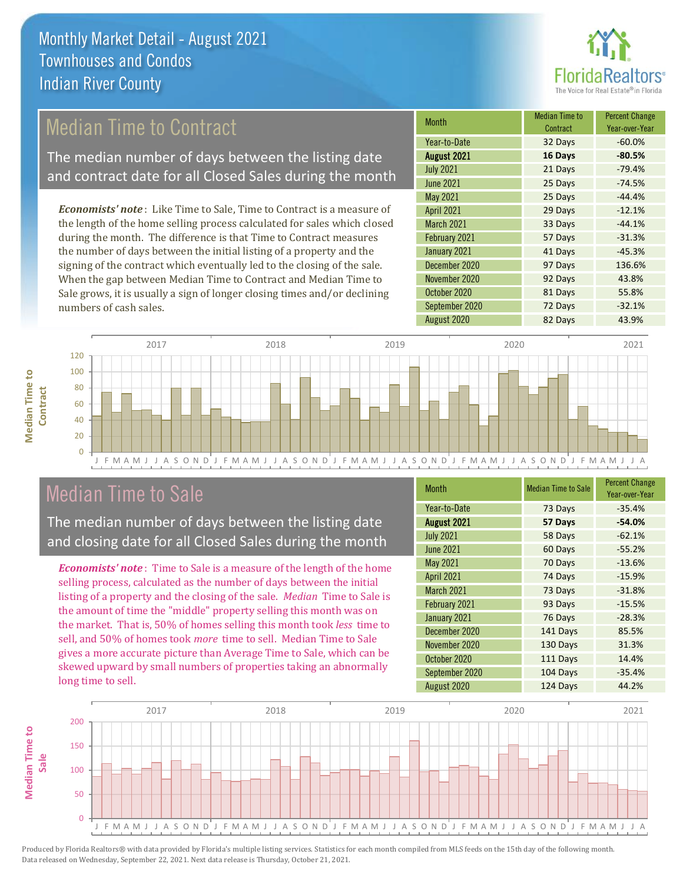

# Median Time to Contract

The median number of days between the listing date and contract date for all Closed Sales during the month

*Economists' note* : Like Time to Sale, Time to Contract is a measure of the length of the home selling process calculated for sales which closed during the month. The difference is that Time to Contract measures the number of days between the initial listing of a property and the signing of the contract which eventually led to the closing of the sale. When the gap between Median Time to Contract and Median Time to Sale grows, it is usually a sign of longer closing times and/or declining numbers of cash sales.

| <b>Month</b>       | <b>Median Time to</b><br>Contract | <b>Percent Change</b><br>Year-over-Year |
|--------------------|-----------------------------------|-----------------------------------------|
| Year-to-Date       | 32 Days                           | $-60.0%$                                |
| <b>August 2021</b> | 16 Days                           | $-80.5%$                                |
| <b>July 2021</b>   | 21 Days                           | $-79.4%$                                |
| <b>June 2021</b>   | 25 Days                           | $-74.5%$                                |
| May 2021           | 25 Days                           | $-44.4%$                                |
| <b>April 2021</b>  | 29 Days                           | $-12.1%$                                |
| <b>March 2021</b>  | 33 Days                           | $-44.1%$                                |
| February 2021      | 57 Days                           | $-31.3%$                                |
| January 2021       | 41 Days                           | $-45.3%$                                |
| December 2020      | 97 Days                           | 136.6%                                  |
| November 2020      | 92 Days                           | 43.8%                                   |
| October 2020       | 81 Days                           | 55.8%                                   |
| September 2020     | 72 Days                           | $-32.1%$                                |
| August 2020        | 82 Days                           | 43.9%                                   |



### Median Time to Sale

**Median Time to Contract**

**Median Time to** 

The median number of days between the listing date and closing date for all Closed Sales during the month

*Economists' note* : Time to Sale is a measure of the length of the home selling process, calculated as the number of days between the initial listing of a property and the closing of the sale. *Median* Time to Sale is the amount of time the "middle" property selling this month was on the market. That is, 50% of homes selling this month took *less* time to sell, and 50% of homes took *more* time to sell. Median Time to Sale gives a more accurate picture than Average Time to Sale, which can be skewed upward by small numbers of properties taking an abnormally long time to sell.

| <b>Month</b>      | <b>Median Time to Sale</b> | <b>Percent Change</b><br>Year-over-Year |
|-------------------|----------------------------|-----------------------------------------|
| Year-to-Date      | 73 Days                    | $-35.4%$                                |
| August 2021       | 57 Days                    | $-54.0%$                                |
| <b>July 2021</b>  | 58 Days                    | $-62.1%$                                |
| <b>June 2021</b>  | 60 Days                    | $-55.2%$                                |
| May 2021          | 70 Days                    | $-13.6%$                                |
| <b>April 2021</b> | 74 Days                    | $-15.9%$                                |
| <b>March 2021</b> | 73 Days                    | $-31.8%$                                |
| February 2021     | 93 Days                    | $-15.5%$                                |
| January 2021      | 76 Days                    | $-28.3%$                                |
| December 2020     | 141 Days                   | 85.5%                                   |
| November 2020     | 130 Days                   | 31.3%                                   |
| October 2020      | 111 Days                   | 14.4%                                   |
| September 2020    | 104 Days                   | $-35.4%$                                |
| August 2020       | 124 Days                   | 44.2%                                   |

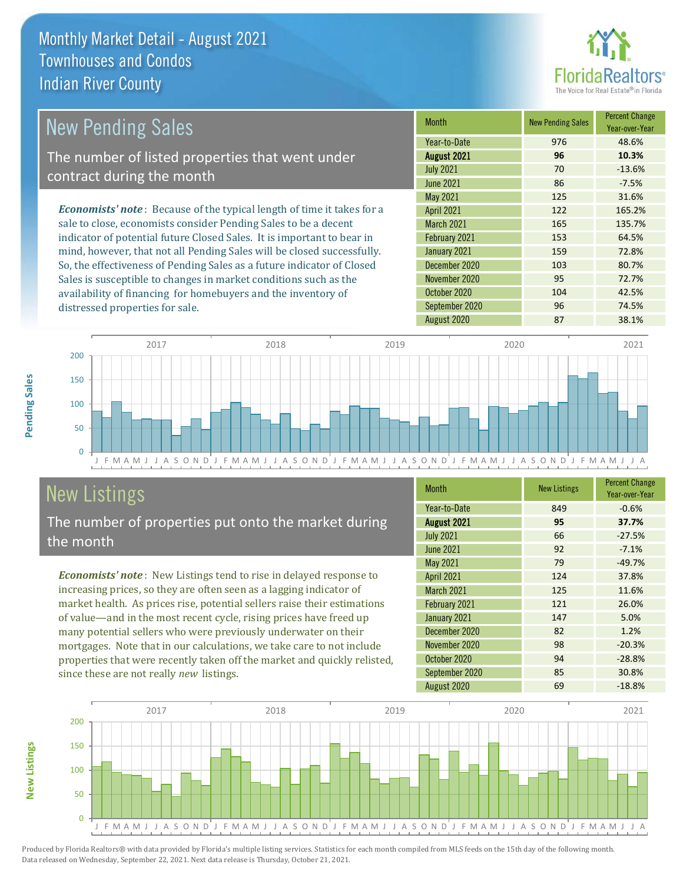

| New Pending Sales                                                             | <b>Month</b>      | <b>New Pending Sales</b> | <b>Percent Change</b><br>Year-over-Year |
|-------------------------------------------------------------------------------|-------------------|--------------------------|-----------------------------------------|
|                                                                               | Year-to-Date      | 976                      | 48.6%                                   |
| The number of listed properties that went under                               | August 2021       | 96                       | 10.3%                                   |
| contract during the month                                                     | <b>July 2021</b>  | 70                       | $-13.6%$                                |
|                                                                               | <b>June 2021</b>  | 86                       | $-7.5%$                                 |
|                                                                               | May 2021          | 125                      | 31.6%                                   |
| <b>Economists' note:</b> Because of the typical length of time it takes for a | <b>April 2021</b> | 122                      | 165.2%                                  |
| sale to close, economists consider Pending Sales to be a decent               | <b>March 2021</b> | 165                      | 135.7%                                  |
| indicator of potential future Closed Sales. It is important to bear in        | February 2021     | 153                      | 64.5%                                   |
| mind, however, that not all Pending Sales will be closed successfully.        | January 2021      | 159                      | 72.8%                                   |
| So, the effectiveness of Pending Sales as a future indicator of Closed        | December 2020     | 103                      | 80.7%                                   |
| Sales is susceptible to changes in market conditions such as the              | November 2020     | 95                       | 72.7%                                   |
| availability of financing for homebuyers and the inventory of                 | October 2020      | 104                      | 42.5%                                   |



# New Listings

distressed properties for sale.

The number of properties put onto the market during the month

*Economists' note* : New Listings tend to rise in delayed response to increasing prices, so they are often seen as a lagging indicator of market health. As prices rise, potential sellers raise their estimations of value—and in the most recent cycle, rising prices have freed up many potential sellers who were previously underwater on their mortgages. Note that in our calculations, we take care to not include properties that were recently taken off the market and quickly relisted, since these are not really *new* listings.

| Month             | <b>New Listings</b> | <b>Percent Change</b><br>Year-over-Year |
|-------------------|---------------------|-----------------------------------------|
| Year-to-Date      | 849                 | $-0.6%$                                 |
| August 2021       | 95                  | 37.7%                                   |
| <b>July 2021</b>  | 66                  | $-27.5%$                                |
| <b>June 2021</b>  | 92                  | $-7.1%$                                 |
| May 2021          | 79                  | $-49.7%$                                |
| <b>April 2021</b> | 124                 | 37.8%                                   |
| <b>March 2021</b> | 125                 | 11.6%                                   |
| February 2021     | 121                 | 26.0%                                   |
| January 2021      | 147                 | 5.0%                                    |
| December 2020     | 82                  | 1.2%                                    |
| November 2020     | 98                  | $-20.3%$                                |
| October 2020      | 94                  | $-28.8%$                                |
| September 2020    | 85                  | 30.8%                                   |
| August 2020       | 69                  | $-18.8%$                                |

September 2020 96 74.5%



Produced by Florida Realtors® with data provided by Florida's multiple listing services. Statistics for each month compiled from MLS feeds on the 15th day of the following month. Data released on Wednesday, September 22, 2021. Next data release is Thursday, October 21, 2021.

**New Listings**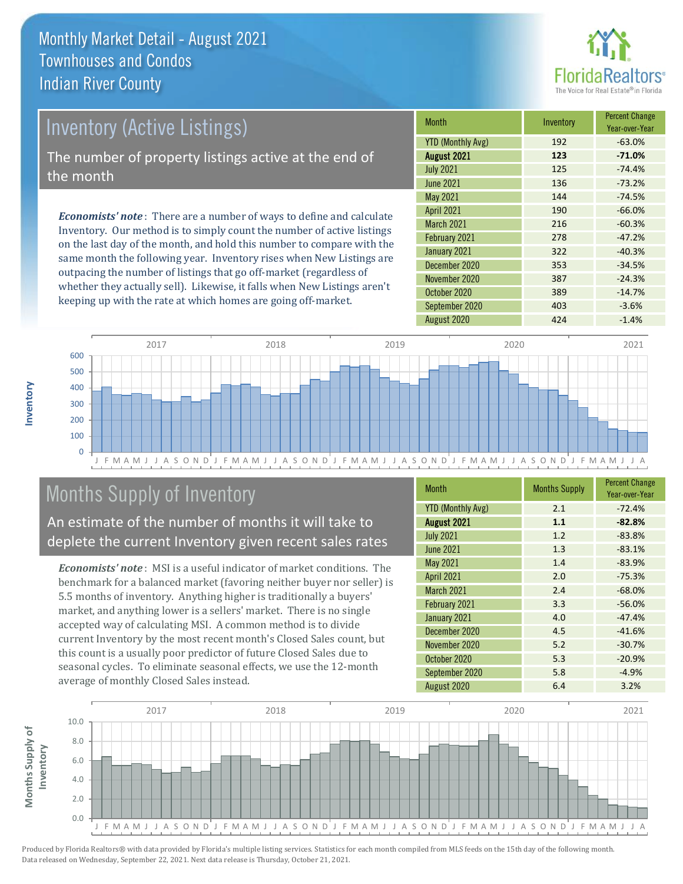

# *Economists' note* : There are a number of ways to define and calculate Inventory (Active Listings) The number of property listings active at the end of the month

Inventory. Our method is to simply count the number of active listings on the last day of the month, and hold this number to compare with the same month the following year. Inventory rises when New Listings are outpacing the number of listings that go off-market (regardless of whether they actually sell). Likewise, it falls when New Listings aren't keeping up with the rate at which homes are going off-market.

| Month                    | Inventory | <b>Percent Change</b><br>Year-over-Year |
|--------------------------|-----------|-----------------------------------------|
| <b>YTD (Monthly Avg)</b> | 192       | $-63.0%$                                |
| August 2021              | 123       | $-71.0%$                                |
| <b>July 2021</b>         | 125       | $-74.4%$                                |
| <b>June 2021</b>         | 136       | $-73.2%$                                |
| May 2021                 | 144       | $-74.5%$                                |
| <b>April 2021</b>        | 190       | $-66.0%$                                |
| March 2021               | 216       | $-60.3%$                                |
| February 2021            | 278       | $-47.2%$                                |
| January 2021             | 322       | $-40.3%$                                |
| December 2020            | 353       | $-34.5%$                                |
| November 2020            | 387       | $-24.3%$                                |
| October 2020             | 389       | $-14.7%$                                |
| September 2020           | 403       | $-3.6%$                                 |
| August 2020              | 424       | $-1.4%$                                 |



# Months Supply of Inventory

An estimate of the number of months it will take to deplete the current Inventory given recent sales rates

*Economists' note* : MSI is a useful indicator of market conditions. The benchmark for a balanced market (favoring neither buyer nor seller) is 5.5 months of inventory. Anything higher is traditionally a buyers' market, and anything lower is a sellers' market. There is no single accepted way of calculating MSI. A common method is to divide current Inventory by the most recent month's Closed Sales count, but this count is a usually poor predictor of future Closed Sales due to seasonal cycles. To eliminate seasonal effects, we use the 12-month average of monthly Closed Sales instead.

| <b>Month</b>             | <b>Months Supply</b> | <b>Percent Change</b><br>Year-over-Year |
|--------------------------|----------------------|-----------------------------------------|
| <b>YTD (Monthly Avg)</b> | 2.1                  | $-72.4%$                                |
| August 2021              | 1.1                  | $-82.8%$                                |
| <b>July 2021</b>         | 1.2                  | $-83.8%$                                |
| <b>June 2021</b>         | 1.3                  | $-83.1%$                                |
| May 2021                 | 1.4                  | $-83.9%$                                |
| <b>April 2021</b>        | 2.0                  | $-75.3%$                                |
| March 2021               | 2.4                  | $-68.0%$                                |
| February 2021            | 3.3                  | $-56.0%$                                |
| January 2021             | 4.0                  | $-47.4%$                                |
| December 2020            | 4.5                  | $-41.6%$                                |
| November 2020            | 5.2                  | $-30.7%$                                |
| October 2020             | 5.3                  | $-20.9%$                                |
| September 2020           | 5.8                  | $-4.9%$                                 |
| August 2020              | 6.4                  | 3.2%                                    |

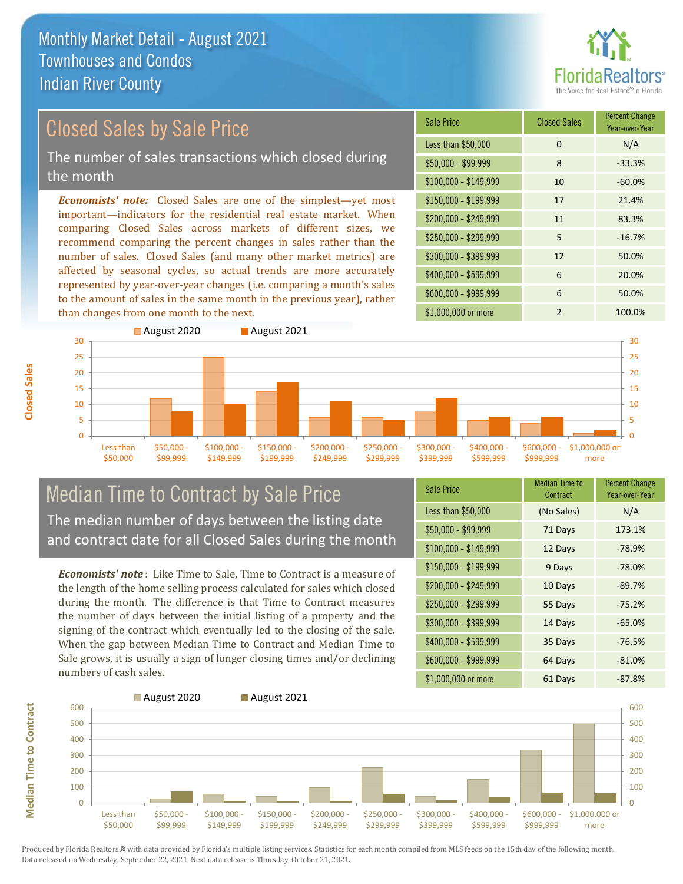

# Closed Sales by Sale Price

The number of sales transactions which closed during the month

*Economists' note:* Closed Sales are one of the simplest—yet most important—indicators for the residential real estate market. When comparing Closed Sales across markets of different sizes, we recommend comparing the percent changes in sales rather than the number of sales. Closed Sales (and many other market metrics) are affected by seasonal cycles, so actual trends are more accurately represented by year-over-year changes (i.e. comparing a month's sales to the amount of sales in the same month in the previous year), rather than changes from one month to the next.





### Median Time to Contract by Sale Price The median number of days between the listing date and contract date for all Closed Sales during the month

*Economists' note* : Like Time to Sale, Time to Contract is a measure of the length of the home selling process calculated for sales which closed during the month. The difference is that Time to Contract measures the number of days between the initial listing of a property and the signing of the contract which eventually led to the closing of the sale. When the gap between Median Time to Contract and Median Time to Sale grows, it is usually a sign of longer closing times and/or declining numbers of cash sales.

| <b>Sale Price</b>     | Median Time to<br>Contract | <b>Percent Change</b><br>Year-over-Year |
|-----------------------|----------------------------|-----------------------------------------|
| Less than \$50,000    | (No Sales)                 | N/A                                     |
| $$50,000 - $99,999$   | 71 Days                    | 173.1%                                  |
| $$100,000 - $149,999$ | 12 Days                    | $-78.9%$                                |
| $$150,000 - $199,999$ | 9 Days                     | $-78.0%$                                |
| \$200,000 - \$249,999 | 10 Days                    | $-89.7%$                                |
| \$250,000 - \$299,999 | 55 Days                    | $-75.2%$                                |
| \$300,000 - \$399,999 | 14 Days                    | $-65.0%$                                |
| \$400,000 - \$599,999 | 35 Days                    | $-76.5%$                                |
| \$600,000 - \$999,999 | 64 Days                    | $-81.0%$                                |
| \$1,000,000 or more   | 61 Days                    | $-87.8%$                                |



Produced by Florida Realtors® with data provided by Florida's multiple listing services. Statistics for each month compiled from MLS feeds on the 15th day of the following month. Data released on Wednesday, September 22, 2021. Next data release is Thursday, October 21, 2021.

**Median Time to Contract**

**Median Time to Contract**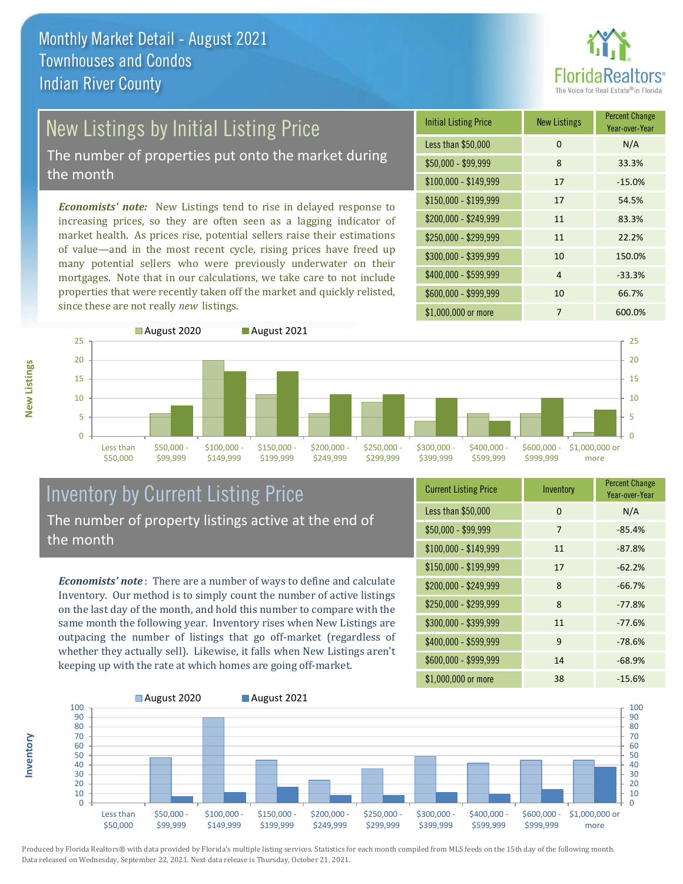

# New Listings by Initial Listing Price

The number of properties put onto the market during the month

*Economists' note:* New Listings tend to rise in delayed response to increasing prices, so they are often seen as a lagging indicator of market health. As prices rise, potential sellers raise their estimations of value—and in the most recent cycle, rising prices have freed up many potential sellers who were previously underwater on their mortgages. Note that in our calculations, we take care to not include properties that were recently taken off the market and quickly relisted, since these are not really *new* listings.

| <b>Initial Listing Price</b> | <b>New Listings</b> | <b>Percent Change</b><br>Year-over-Year |
|------------------------------|---------------------|-----------------------------------------|
| Less than \$50,000           | $\Omega$            | N/A                                     |
| $$50,000 - $99,999$          | 8                   | 33.3%                                   |
| $$100,000 - $149,999$        | 17                  | $-15.0%$                                |
| $$150,000 - $199,999$        | 17                  | 54.5%                                   |
| \$200,000 - \$249,999        | 11                  | 83.3%                                   |
| \$250,000 - \$299,999        | 11                  | 22.2%                                   |
| \$300,000 - \$399,999        | 10                  | 150.0%                                  |
| \$400,000 - \$599,999        | 4                   | $-33.3%$                                |
| \$600,000 - \$999,999        | 10                  | 66.7%                                   |
| \$1,000,000 or more          | 7                   | 600.0%                                  |



### Inventory by Current Listing Price The number of property listings active at the end of the month

*Economists' note* : There are a number of ways to define and calculate Inventory. Our method is to simply count the number of active listings on the last day of the month, and hold this number to compare with the same month the following year. Inventory rises when New Listings are outpacing the number of listings that go off-market (regardless of whether they actually sell). Likewise, it falls when New Listings aren't keeping up with the rate at which homes are going off-market.

| <b>Current Listing Price</b> | Inventory | <b>Percent Change</b><br>Year-over-Year |
|------------------------------|-----------|-----------------------------------------|
| Less than \$50,000           | $\Omega$  | N/A                                     |
| $$50,000 - $99,999$          | 7         | $-85.4%$                                |
| $$100,000 - $149,999$        | 11        | $-87.8%$                                |
| \$150,000 - \$199,999        | 17        | $-62.2%$                                |
| \$200,000 - \$249,999        | 8         | $-66.7%$                                |
| \$250,000 - \$299,999        | 8         | $-77.8%$                                |
| \$300,000 - \$399,999        | 11        | $-77.6%$                                |
| \$400,000 - \$599,999        | 9         | $-78.6%$                                |
| \$600,000 - \$999,999        | 14        | $-68.9%$                                |
| \$1,000,000 or more          | 38        | $-15.6%$                                |



Produced by Florida Realtors® with data provided by Florida's multiple listing services. Statistics for each month compiled from MLS feeds on the 15th day of the following month. Data released on Wednesday, September 22, 2021. Next data release is Thursday, October 21, 2021.

**Inventory**